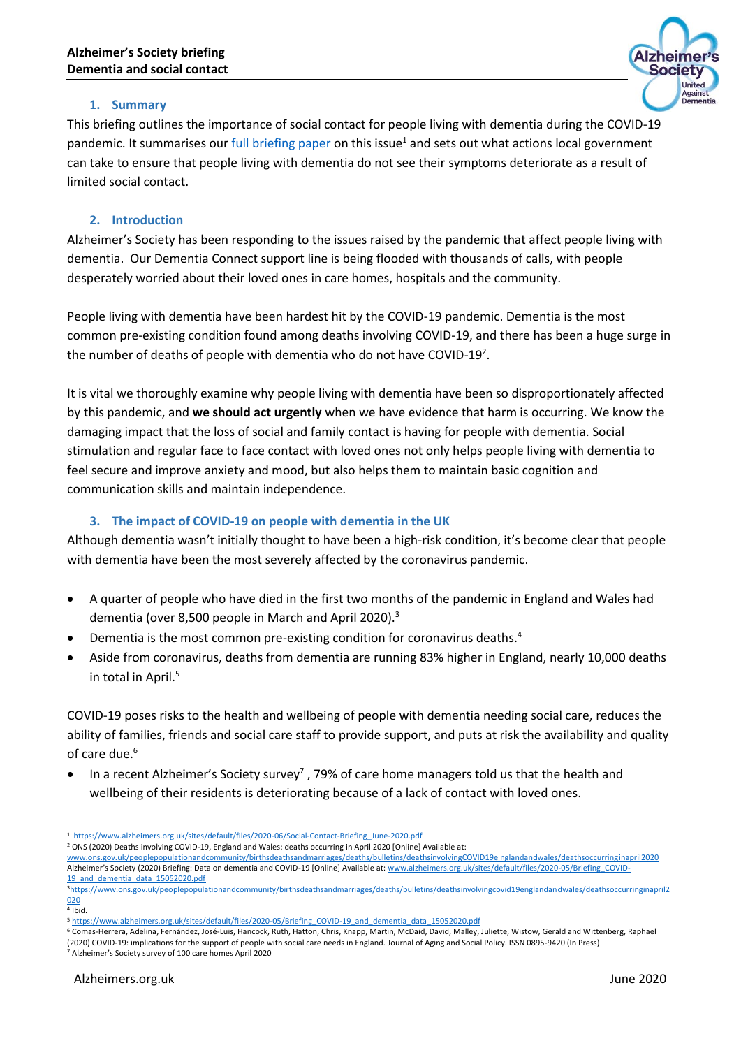

# **1. Summary**

This briefing outlines the importance of social contact for people living with dementia during the COVID-19 pandemic. It summarises our [full briefing paper](https://www.alzheimers.org.uk/sites/default/files/2020-06/Social-Contact-Briefing_June-2020.pdf) on this issue<sup>1</sup> and sets out what actions local government can take to ensure that people living with dementia do not see their symptoms deteriorate as a result of limited social contact.

### **2. Introduction**

Alzheimer's Society has been responding to the issues raised by the pandemic that affect people living with dementia. Our Dementia Connect support line is being flooded with thousands of calls, with people desperately worried about their loved ones in care homes, hospitals and the community.

People living with dementia have been hardest hit by the COVID-19 pandemic. Dementia is the most common pre-existing condition found among deaths involving COVID-19, and there has been a huge surge in the number of deaths of people with dementia who do not have COVID-19<sup>2</sup>.

It is vital we thoroughly examine why people living with dementia have been so disproportionately affected by this pandemic, and **we should act urgently** when we have evidence that harm is occurring. We know the damaging impact that the loss of social and family contact is having for people with dementia. Social stimulation and regular face to face contact with loved ones not only helps people living with dementia to feel secure and improve anxiety and mood, but also helps them to maintain basic cognition and communication skills and maintain independence.

## **3. The impact of COVID-19 on people with dementia in the UK**

Although dementia wasn't initially thought to have been a high-risk condition, it's become clear that people with dementia have been the most severely affected by the coronavirus pandemic.

- A quarter of people who have died in the first two months of the pandemic in England and Wales had dementia (over 8,500 people in March and April 2020).<sup>3</sup>
- Dementia is the most common pre-existing condition for coronavirus deaths.<sup>4</sup>
- Aside from coronavirus, deaths from dementia are running 83% higher in England, nearly 10,000 deaths in total in April.<sup>5</sup>

COVID-19 poses risks to the health and wellbeing of people with dementia needing social care, reduces the ability of families, friends and social care staff to provide support, and puts at risk the availability and quality of care due.<sup>6</sup>

 $\bullet$  In a recent Alzheimer's Society survey<sup>7</sup>, 79% of care home managers told us that the health and wellbeing of their residents is deteriorating because of a lack of contact with loved ones.

1

<sup>6</sup> Comas-Herrera, Adelina, Fernández, José-Luis, Hancock, Ruth, Hatton, Chris, Knapp, Martin, McDaid, David, Malley, Juliette, Wistow, Gerald and Wittenberg, Raphael (2020) COVID-19: implications for the support of people with social care needs in England. Journal of Aging and Social Policy. ISSN 0895-9420 (In Press) <sup>7</sup> Alzheimer's Society survey of 100 care homes April 2020

<sup>1</sup> [https://www.alzheimers.org.uk/sites/default/files/2020-06/Social-Contact-Briefing\\_June-2020.pdf](https://www.alzheimers.org.uk/sites/default/files/2020-06/Social-Contact-Briefing_June-2020.pdf)

<sup>2</sup> ONS (2020) Deaths involving COVID-19, England and Wales: deaths occurring in April 2020 [Online] Available at:

[www.ons.gov.uk/peoplepopulationandcommunity/birthsdeathsandmarriages/deaths/bulletins/deathsinvolvingCOVID19e nglandandwales/deathsoccurringinapril2020](http://www.ons.gov.uk/peoplepopulationandcommunity/birthsdeathsandmarriages/deaths/bulletins/deathsinvolvingCOVID19e%20nglandandwales/deathsoccurringinapril2020) Alzheimer's Society (2020) Briefing: Data on dementia and COVID-19 [Online] Available at: [www.alzheimers.org.uk/sites/default/files/2020-05/Briefing\\_COVID-](http://www.alzheimers.org.uk/sites/default/files/2020-05/Briefing_COVID-19_and_dementia_data_15052020.pdf)[19\\_and\\_dementia\\_data\\_15052020.pdf](http://www.alzheimers.org.uk/sites/default/files/2020-05/Briefing_COVID-19_and_dementia_data_15052020.pdf)

<sup>3</sup>[https://www.ons.gov.uk/peoplepopulationandcommunity/birthsdeathsandmarriages/deaths/bulletins/deathsinvolvingcovid19englandandwales/deathsoccurringinapril2](https://www.ons.gov.uk/peoplepopulationandcommunity/birthsdeathsandmarriages/deaths/bulletins/deathsinvolvingcovid19englandandwales/deathsoccurringinapril2020) [020](https://www.ons.gov.uk/peoplepopulationandcommunity/birthsdeathsandmarriages/deaths/bulletins/deathsinvolvingcovid19englandandwales/deathsoccurringinapril2020)

<sup>4</sup> Ibid.

<sup>5</sup> [https://www.alzheimers.org.uk/sites/default/files/2020-05/Briefing\\_COVID-19\\_and\\_dementia\\_data\\_15052020.pdf](https://www.alzheimers.org.uk/sites/default/files/2020-05/Briefing_COVID-19_and_dementia_data_15052020.pdf)